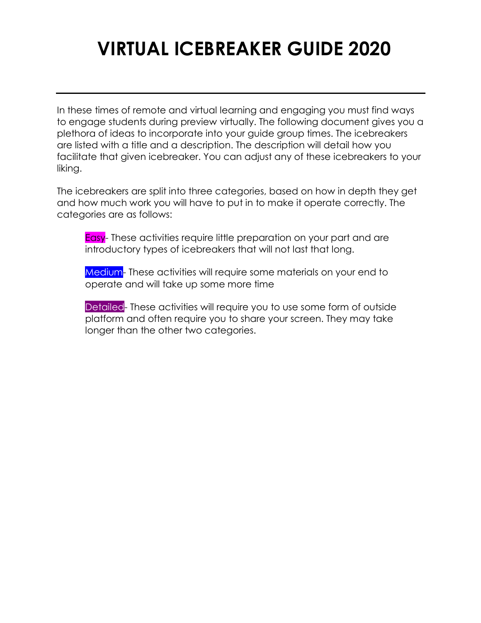# **VIRTUAL ICEBREAKER GUIDE 2020**

In these times of remote and virtual learning and engaging you must find ways to engage students during preview virtually. The following document gives you a plethora of ideas to incorporate into your guide group times. The icebreakers are listed with a title and a description. The description will detail how you facilitate that given icebreaker. You can adjust any of these icebreakers to your liking.

The icebreakers are split into three categories, based on how in depth they get and how much work you will have to put in to make it operate correctly. The categories are as follows:

Easy- These activities require little preparation on your part and are introductory types of icebreakers that will not last that long.

Medium- These activities will require some materials on your end to operate and will take up some more time

Detailed- These activities will require you to use some form of outside platform and often require you to share your screen. They may take longer than the other two categories.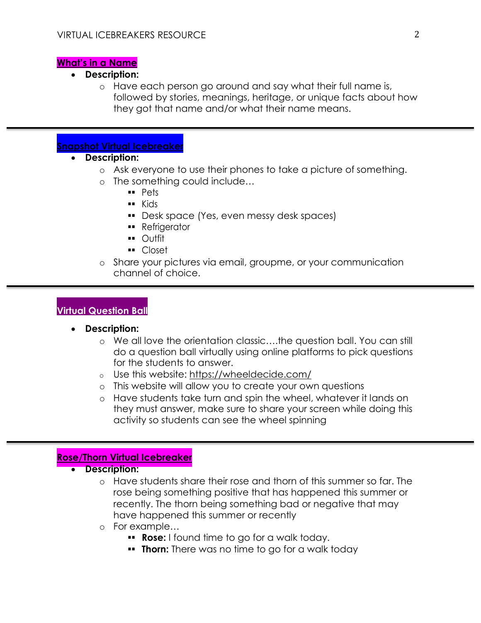#### **What's in a Name**

- **Description:**
	- o Have each person go around and say what their full name is, followed by stories, meanings, heritage, or unique facts about how they got that name and/or what their name means.

# **Snapshot Virtual Icebreaker**

- **Description:**
	- o Ask everyone to use their phones to take a picture of something.
	- o The something could include…
		- $Pets$
		- **Example Kids**
		- **Desk space (Yes, even messy desk spaces)**
		- **B** Refrigerator
		- **..** Outfit
		- Closet
	- o Share your pictures via email, groupme, or your communication channel of choice.

# **Virtual Question Ball**

- **Description:**
	- o We all love the orientation classic….the question ball. You can still do a question ball virtually using online platforms to pick questions for the students to answer.
	- o Use this website: https://wheeldecide.com/
	- o This website will allow you to create your own questions
	- o Have students take turn and spin the wheel, whatever it lands on they must answer, make sure to share your screen while doing this activity so students can see the wheel spinning

#### **Rose/Thorn Virtual Icebreaker**

- **•** Description:
	- o Have students share their rose and thorn of this summer so far. The rose being something positive that has happened this summer or recently. The thorn being something bad or negative that may have happened this summer or recently
	- o For example…
		- **Rose:** I found time to go for a walk today.
		- **Thorn:** There was no time to go for a walk today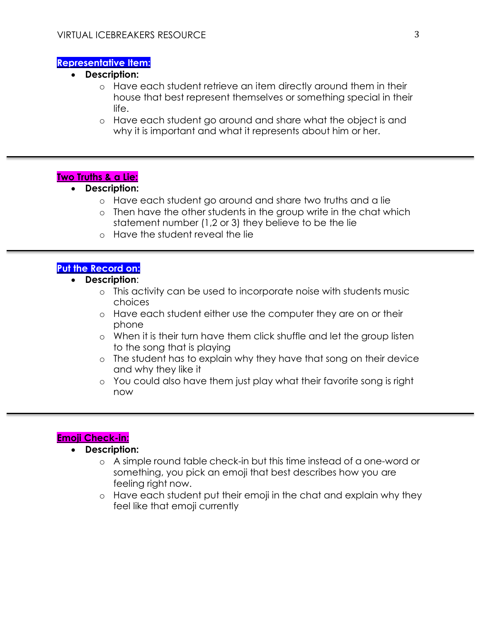#### **Representative Item:**

- **Description:**
	- o Have each student retrieve an item directly around them in their house that best represent themselves or something special in their life.
	- o Have each student go around and share what the object is and why it is important and what it represents about him or her.

# **Two Truths & a Lie:**

## **Description:**

- o Have each student go around and share two truths and a lie
- o Then have the other students in the group write in the chat which statement number (1,2 or 3) they believe to be the lie
- o Have the student reveal the lie

# **Put the Record on:**

- **Description**:
	- o This activity can be used to incorporate noise with students music choices
	- o Have each student either use the computer they are on or their phone
	- o When it is their turn have them click shuffle and let the group listen to the song that is playing
	- o The student has to explain why they have that song on their device and why they like it
	- o You could also have them just play what their favorite song is right now

# **Emoji Check-in:**

# **Description:**

- o A simple round table check-in but this time instead of a one-word or something, you pick an emoji that best describes how you are feeling right now.
- o Have each student put their emoji in the chat and explain why they feel like that emoji currently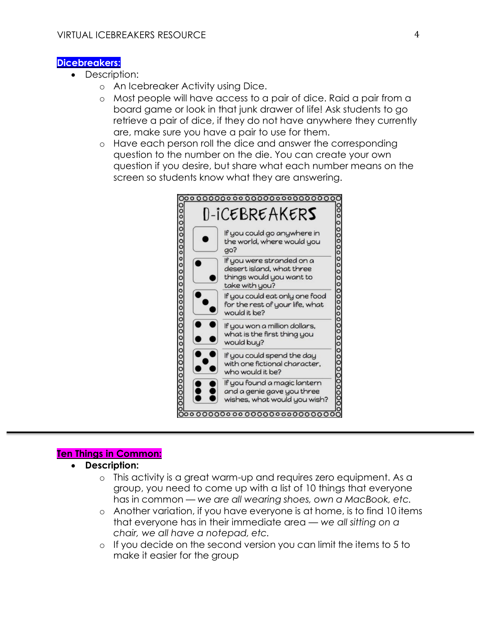#### **Dicebreakers:**

- Description:
	- o An Icebreaker Activity using Dice.
	- o Most people will have access to a pair of dice. Raid a pair from a board game or look in that junk drawer of life! Ask students to go retrieve a pair of dice, if they do not have anywhere they currently are, make sure you have a pair to use for them.
	- o Have each person roll the dice and answer the corresponding question to the number on the die. You can create your own question if you desire, but share what each number means on the screen so students know what they are answering.



## **Ten Things in Common:**

- **Description:**
	- o This activity is a great warm-up and requires zero equipment. As a group, you need to come up with a list of 10 things that everyone has in common — *we are all wearing shoes, own a MacBook, etc.*
	- o Another variation, if you have everyone is at home, is to find 10 items that everyone has in their immediate area — *we all sitting on a chair, we all have a notepad, etc.*
	- o If you decide on the second version you can limit the items to 5 to make it easier for the group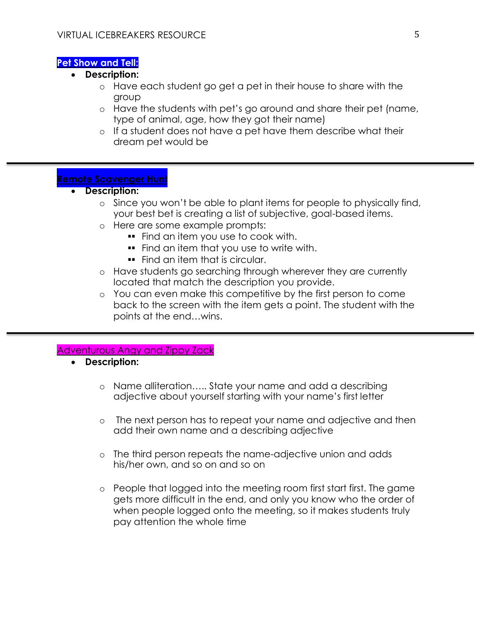#### **Pet Show and Tell:**

- **Description:**
	- o Have each student go get a pet in their house to share with the group
	- o Have the students with pet's go around and share their pet (name, type of animal, age, how they got their name)
	- o If a student does not have a pet have them describe what their dream pet would be

#### **Remote Scavenger Hunt**

- **•** Description:
	- $\circ$  Since you won't be able to plant items for people to physically find, your best bet is creating a list of subjective, goal-based items.
	- o Here are some example prompts:
		- **Find an item you use to cook with.**
		- **Find an item that you use to write with.**
		- **Find an item that is circular.**
	- o Have students go searching through wherever they are currently located that match the description you provide.
	- o You can even make this competitive by the first person to come back to the screen with the item gets a point. The student with the points at the end…wins.

#### Adventurous Angy and Zippy Zack

- **Description:**
	- o Name alliteration….. State your name and add a describing adjective about yourself starting with your name's first letter
	- o The next person has to repeat your name and adjective and then add their own name and a describing adjective
	- o The third person repeats the name-adjective union and adds his/her own, and so on and so on
	- o People that logged into the meeting room first start first. The game gets more difficult in the end, and only you know who the order of when people logged onto the meeting, so it makes students truly pay attention the whole time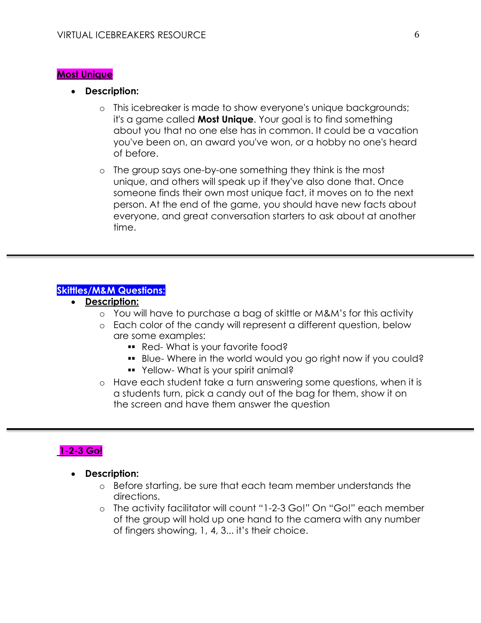#### **Most Unique**

- **Description:**
	- o This icebreaker is made to show everyone's unique backgrounds; it's a game called **Most Unique**. Your goal is to find something about you that no one else has in common. It could be a vacation you've been on, an award you've won, or a hobby no one's heard of before.
	- o The group says one-by-one something they think is the most unique, and others will speak up if they've also done that. Once someone finds their own most unique fact, it moves on to the next person. At the end of the game, you should have new facts about everyone, and great conversation starters to ask about at another time.

# **Skittles/M&M Questions:**

- **Description:**
	- o You will have to purchase a bag of skittle or M&M's for this activity
	- o Each color of the candy will represent a different question, below are some examples:
		- **Red-What is your favorite food?**
		- **Blue- Where in the world would you go right now if you could?**
		- Yellow- What is your spirit animal?
	- o Have each student take a turn answering some questions, when it is a students turn, pick a candy out of the bag for them, show it on the screen and have them answer the question

# **1-2-3 Go!**

- **Description:**
	- o Before starting, be sure that each team member understands the directions.
	- o The activity facilitator will count "1-2-3 Go!" On "Go!" each member of the group will hold up one hand to the camera with any number of fingers showing, 1, 4, 3... it's their choice.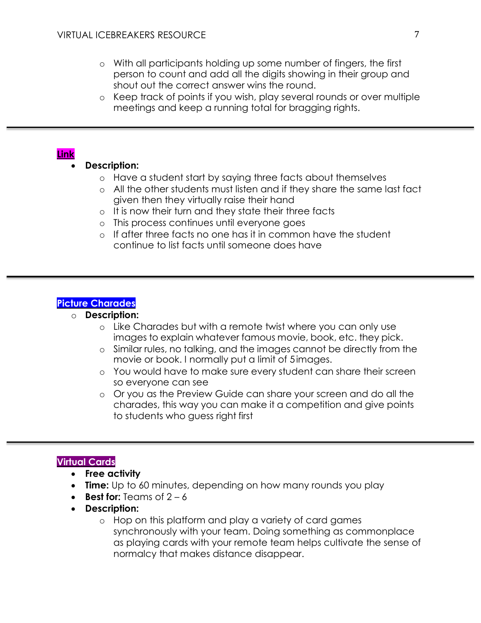- o With all participants holding up some number of fingers, the first person to count and add all the digits showing in their group and shout out the correct answer wins the round.
- o Keep track of points if you wish, play several rounds or over multiple meetings and keep a running total for bragging rights.

# **Link**

# **Description:**

- o Have a student start by saying three facts about themselves
- o All the other students must listen and if they share the same last fact given then they virtually raise their hand
- o It is now their turn and they state their three facts
- o This process continues until everyone goes
- o If after three facts no one has it in common have the student continue to list facts until someone does have

# **Picture Charades**

#### o **Description:**

- o Like Charades but with a remote twist where you can only use images to explain whatever famous movie, book, etc. they pick.
- o Similar rules, no talking, and the images cannot be directly from the movie or book. I normally put a limit of 5images.
- o You would have to make sure every student can share their screen so everyone can see
- o Or you as the Preview Guide can share your screen and do all the charades, this way you can make it a competition and give points to students who guess right first

# **Virtual Cards**

- **Free activity**
- **Time:** Up to 60 minutes, depending on how many rounds you play
- **Best for:**  $Teames of  $2-6$$
- **Description:**
	- o Hop on this platform and play a variety of card games synchronously with your team. Doing something as commonplace as playing cards with your remote team helps cultivate the sense of normalcy that makes distance disappear.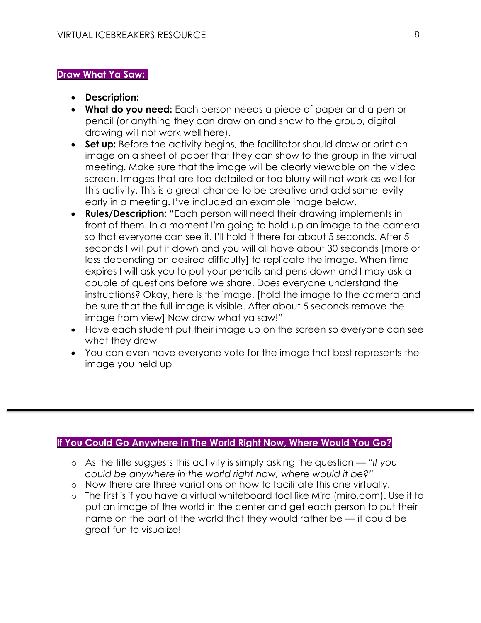# **Draw What Ya Saw:**

- **Description:**
- **What do you need:** Each person needs a piece of paper and a pen or pencil (or anything they can draw on and show to the group, digital drawing will not work well here).
- **Set up:** Before the activity begins, the facilitator should draw or print an image on a sheet of paper that they can show to the group in the virtual meeting. Make sure that the image will be clearly viewable on the video screen. Images that are too detailed or too blurry will not work as well for this activity. This is a great chance to be creative and add some levity early in a meeting. I've included an example image below.
- **Rules/Description:** "Each person will need their drawing implements in front of them. In a moment I'm going to hold up an image to the camera so that everyone can see it. I'll hold it there for about 5 seconds. After 5 seconds I will put it down and you will all have about 30 seconds [more or less depending on desired difficulty] to replicate the image. When time expires I will ask you to put your pencils and pens down and I may ask a couple of questions before we share. Does everyone understand the instructions? Okay, here is the image. [hold the image to the camera and be sure that the full image is visible. After about 5 seconds remove the image from view] Now draw what ya saw!"
- Have each student put their image up on the screen so everyone can see what they drew
- You can even have everyone vote for the image that best represents the image you held up

# **If You Could Go Anywhere in The World Right Now, Where Would You Go?**

- o As the title suggests this activity is simply asking the question *"if you could be anywhere in the world right now, where would it be?"*
- o Now there are three variations on how to facilitate this one virtually.
- o The first is if you have a virtual whiteboard tool like Miro (miro.com). Use it to put an image of the world in the center and get each person to put their name on the part of the world that they would rather be — it could be great fun to visualize!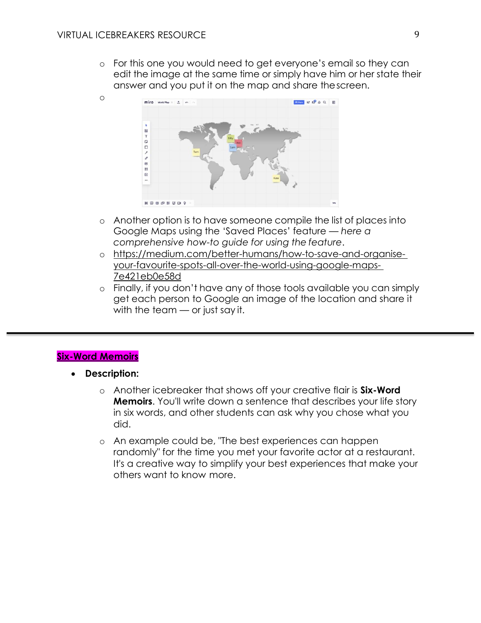o

o For this one you would need to get everyone's email so they can edit the image at the same time or simply have him or her state their answer and you put it on the map and share thescreen.



- o Another option is to have someone compile the list of places into Google Maps using the 'Saved Places' feature — *here a comprehensive how-to guide for using the feature*.
- o https://medium.com/better-humans/how-to-save-and-organiseyour-favourite-spots-all-over-the-world-using-google-maps-7e421eb0e58d
- o Finally, if you don't have any of those tools available you can simply get each person to Google an image of the location and share it with the team — or just say it.

# **Six-Word Memoirs**

- **Description:**
	- o Another icebreaker that shows off your creative flair is **Six-Word Memoirs**. You'll write down a sentence that describes your life story in six words, and other students can ask why you chose what you did.
	- o An example could be, "The best experiences can happen randomly" for the time you met your favorite actor at a restaurant. It's a creative way to simplify your best experiences that make your others want to know more.